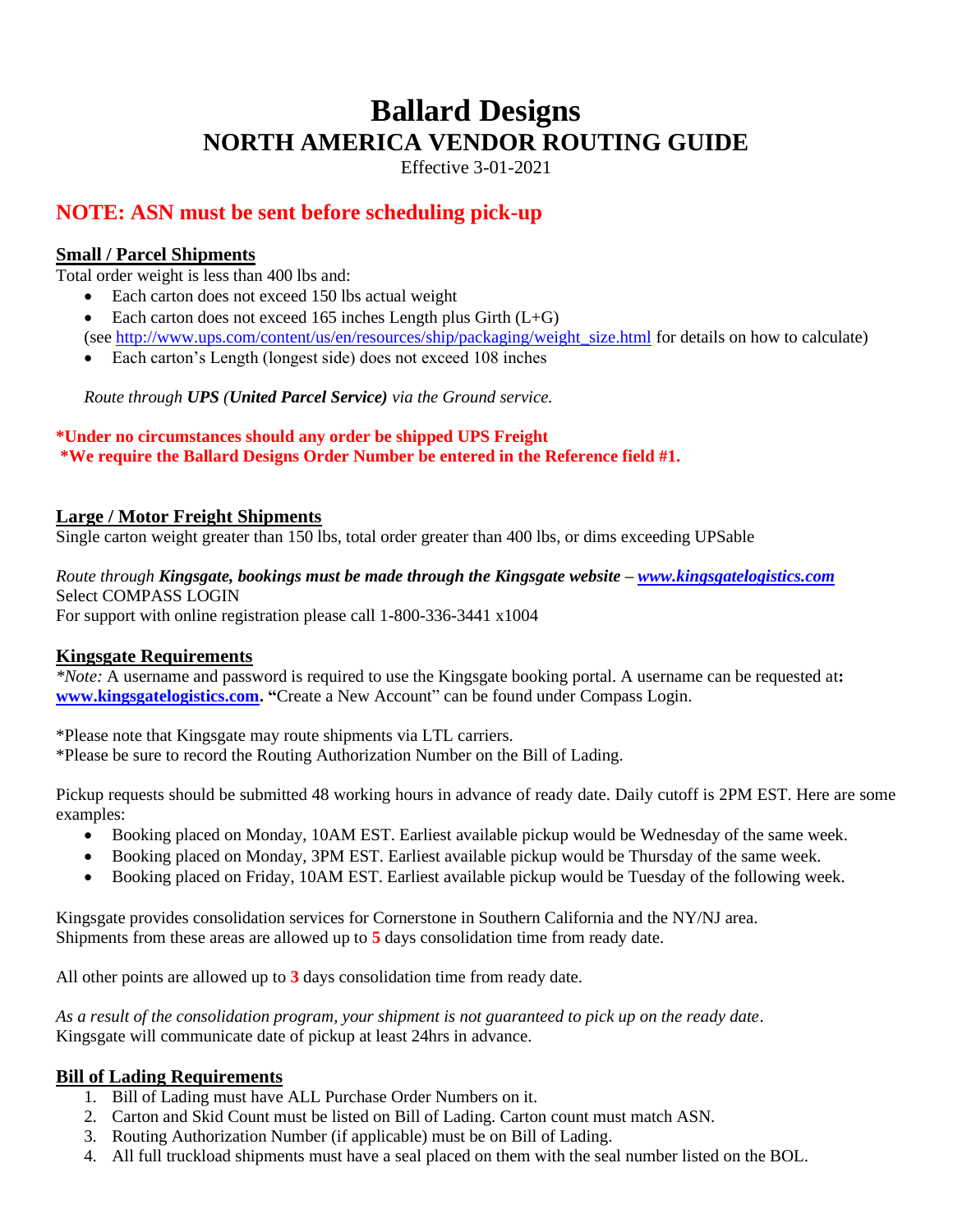# **Ballard Designs NORTH AMERICA VENDOR ROUTING GUIDE**

Effective 3-01-2021

## **NOTE: ASN must be sent before scheduling pick-up**

## **Small / Parcel Shipments**

Total order weight is less than 400 lbs and:

- Each carton does not exceed 150 lbs actual weight
- Each carton does not exceed 165 inches Length plus Girth  $(L+G)$ (see [http://www.ups.com/content/us/en/resources/ship/packaging/weight\\_size.html](http://www.ups.com/content/us/en/resources/ship/packaging/weight_size.html) for details on how to calculate)
- Each carton's Length (longest side) does not exceed 108 inches

*Route through UPS (United Parcel Service) via the Ground service.*

### **\*Under no circumstances should any order be shipped UPS Freight \*We require the Ballard Designs Order Number be entered in the Reference field #1.**

## **Large / Motor Freight Shipments**

Single carton weight greater than 150 lbs, total order greater than 400 lbs, or dims exceeding UPSable

## *Route through Kingsgate, bookings must be made through the Kingsgate website – [www.kingsgatelogistics.com](http://www.kingsgatelogistics.com/)* Select COMPASS LOGIN

For support with online registration please call 1-800-336-3441 x1004

## **Kingsgate Requirements**

*\*Note:* A username and password is required to use the Kingsgate booking portal. A username can be requested at**: [www.kingsgatelogistics.com.](http://www.kingsgatelogistics.com/) "**Create a New Account" can be found under Compass Login.

\*Please note that Kingsgate may route shipments via LTL carriers.

\*Please be sure to record the Routing Authorization Number on the Bill of Lading.

Pickup requests should be submitted 48 working hours in advance of ready date. Daily cutoff is 2PM EST. Here are some examples:

- Booking placed on Monday, 10AM EST. Earliest available pickup would be Wednesday of the same week.
- Booking placed on Monday, 3PM EST. Earliest available pickup would be Thursday of the same week.
- Booking placed on Friday, 10AM EST. Earliest available pickup would be Tuesday of the following week.

Kingsgate provides consolidation services for Cornerstone in Southern California and the NY/NJ area. Shipments from these areas are allowed up to **5** days consolidation time from ready date.

All other points are allowed up to **3** days consolidation time from ready date.

*As a result of the consolidation program, your shipment is not guaranteed to pick up on the ready date*. Kingsgate will communicate date of pickup at least 24hrs in advance.

#### **Bill of Lading Requirements**

- 1. Bill of Lading must have ALL Purchase Order Numbers on it.
- 2. Carton and Skid Count must be listed on Bill of Lading. Carton count must match ASN.
- 3. Routing Authorization Number (if applicable) must be on Bill of Lading.
- 4. All full truckload shipments must have a seal placed on them with the seal number listed on the BOL.